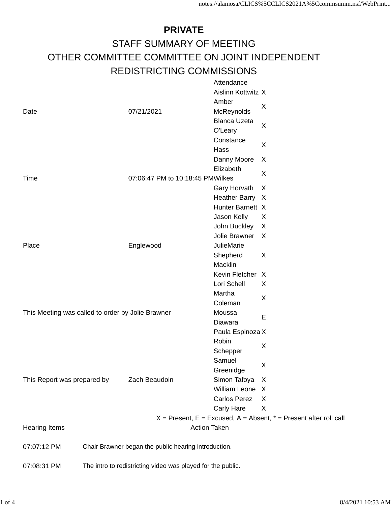## **PRIVATE** STAFF SUMMARY OF MEETING OTHER COMMITTEE COMMITTEE ON JOINT INDEPENDENT REDISTRICTING COMMISSIONS Attendance

|                                                   |  |                                                             | <b>Allengance</b>   |                                                                           |
|---------------------------------------------------|--|-------------------------------------------------------------|---------------------|---------------------------------------------------------------------------|
|                                                   |  |                                                             | Aislinn Kottwitz X  |                                                                           |
|                                                   |  |                                                             | Amber               |                                                                           |
| Date                                              |  | 07/21/2021                                                  | McReynolds          | X                                                                         |
|                                                   |  |                                                             | <b>Blanca Uzeta</b> |                                                                           |
|                                                   |  |                                                             | O'Leary             | X                                                                         |
|                                                   |  |                                                             | Constance           | X                                                                         |
|                                                   |  |                                                             | Hass                |                                                                           |
|                                                   |  |                                                             | Danny Moore         | X                                                                         |
|                                                   |  |                                                             | Elizabeth           | X                                                                         |
| Time                                              |  | 07:06:47 PM to 10:18:45 PMWilkes                            |                     |                                                                           |
|                                                   |  |                                                             | Gary Horvath        | X                                                                         |
|                                                   |  |                                                             | Heather Barry X     |                                                                           |
|                                                   |  |                                                             | Hunter Barnett X    |                                                                           |
|                                                   |  |                                                             | Jason Kelly         | X                                                                         |
|                                                   |  |                                                             | John Buckley        | X                                                                         |
|                                                   |  |                                                             | Jolie Brawner       | X                                                                         |
| Place                                             |  | Englewood                                                   | <b>JulieMarie</b>   |                                                                           |
|                                                   |  |                                                             | Shepherd            | X                                                                         |
|                                                   |  |                                                             | Macklin             |                                                                           |
|                                                   |  |                                                             | Kevin Fletcher X    |                                                                           |
|                                                   |  |                                                             | Lori Schell         | X                                                                         |
|                                                   |  |                                                             | Martha              |                                                                           |
|                                                   |  |                                                             | Coleman             | X                                                                         |
| This Meeting was called to order by Jolie Brawner |  |                                                             | Moussa              |                                                                           |
|                                                   |  |                                                             | Diawara             | Е                                                                         |
|                                                   |  |                                                             | Paula Espinoza X    |                                                                           |
|                                                   |  |                                                             | Robin               |                                                                           |
|                                                   |  |                                                             | Schepper            | X                                                                         |
|                                                   |  |                                                             | Samuel              |                                                                           |
|                                                   |  |                                                             | Greenidge           | X                                                                         |
| This Report was prepared by                       |  | Zach Beaudoin                                               | Simon Tafoya        | X                                                                         |
|                                                   |  |                                                             | William Leone X     |                                                                           |
|                                                   |  |                                                             | Carlos Perez        | X                                                                         |
|                                                   |  |                                                             | Carly Hare          | X                                                                         |
|                                                   |  |                                                             |                     | $X =$ Present, $E =$ Excused, $A =$ Absent, $* =$ Present after roll call |
| <b>Hearing Items</b>                              |  |                                                             | <b>Action Taken</b> |                                                                           |
| 07:07:12 PM                                       |  | Chair Brawner began the public hearing introduction.        |                     |                                                                           |
|                                                   |  |                                                             |                     |                                                                           |
| 07:08:31 PM                                       |  | The intro to redistricting video was played for the public. |                     |                                                                           |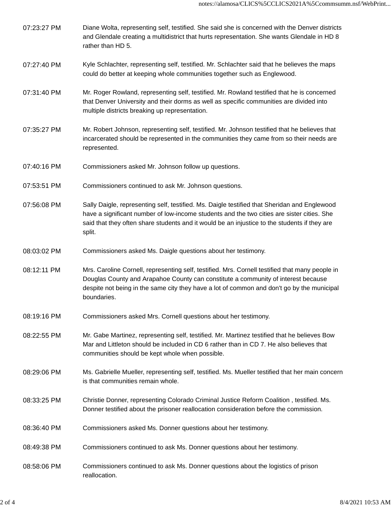- 07:23:27 PM Diane Wolta, representing self, testified. She said she is concerned with the Denver districts and Glendale creating a multidistrict that hurts representation. She wants Glendale in HD 8 rather than HD 5.
- 07:27:40 PM Kyle Schlachter, representing self, testified. Mr. Schlachter said that he believes the maps could do better at keeping whole communities together such as Englewood.
- 07:31:40 PM Mr. Roger Rowland, representing self, testified. Mr. Rowland testified that he is concerned that Denver University and their dorms as well as specific communities are divided into multiple districts breaking up representation.
- 07:35:27 PM Mr. Robert Johnson, representing self, testified. Mr. Johnson testified that he believes that incarcerated should be represented in the communities they came from so their needs are represented.
- 07:40:16 PM Commissioners asked Mr. Johnson follow up questions.
- 07:53:51 PM Commissioners continued to ask Mr. Johnson questions.
- 07:56:08 PM Sally Daigle, representing self, testified. Ms. Daigle testified that Sheridan and Englewood have a significant number of low-income students and the two cities are sister cities. She said that they often share students and it would be an injustice to the students if they are split.
- 08:03:02 PM Commissioners asked Ms. Daigle questions about her testimony.
- 08:12:11 PM Mrs. Caroline Cornell, representing self, testified. Mrs. Cornell testified that many people in Douglas County and Arapahoe County can constitute a community of interest because despite not being in the same city they have a lot of common and don't go by the municipal boundaries.
- 08:19:16 PM Commissioners asked Mrs. Cornell questions about her testimony.
- 08:22:55 PM Mr. Gabe Martinez, representing self, testified. Mr. Martinez testified that he believes Bow Mar and Littleton should be included in CD 6 rather than in CD 7. He also believes that communities should be kept whole when possible.
- 08:29:06 PM Ms. Gabrielle Mueller, representing self, testified. Ms. Mueller testified that her main concern is that communities remain whole.
- 08:33:25 PM Christie Donner, representing Colorado Criminal Justice Reform Coalition , testified. Ms. Donner testified about the prisoner reallocation consideration before the commission.
- 08:36:40 PM Commissioners asked Ms. Donner questions about her testimony.
- 08:49:38 PM Commissioners continued to ask Ms. Donner questions about her testimony.
- 08:58:06 PM Commissioners continued to ask Ms. Donner questions about the logistics of prison reallocation.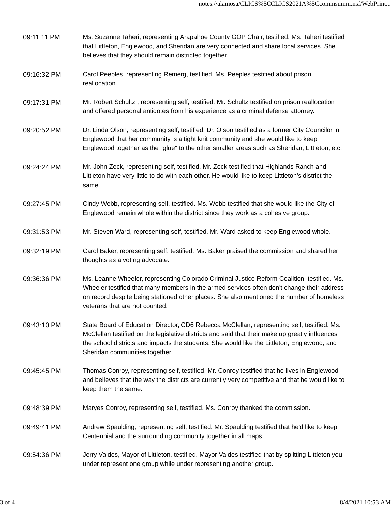| 09:11:11 PM | Ms. Suzanne Taheri, representing Arapahoe County GOP Chair, testified. Ms. Taheri testified<br>that Littleton, Englewood, and Sheridan are very connected and share local services. She<br>believes that they should remain districted together.                                                                                |
|-------------|---------------------------------------------------------------------------------------------------------------------------------------------------------------------------------------------------------------------------------------------------------------------------------------------------------------------------------|
| 09:16:32 PM | Carol Peeples, representing Remerg, testified. Ms. Peeples testified about prison<br>reallocation.                                                                                                                                                                                                                              |
| 09:17:31 PM | Mr. Robert Schultz, representing self, testified. Mr. Schultz testified on prison reallocation<br>and offered personal antidotes from his experience as a criminal defense attorney.                                                                                                                                            |
| 09:20:52 PM | Dr. Linda Olson, representing self, testified. Dr. Olson testified as a former City Councilor in<br>Englewood that her community is a tight knit community and she would like to keep<br>Englewood together as the "glue" to the other smaller areas such as Sheridan, Littleton, etc.                                          |
| 09:24:24 PM | Mr. John Zeck, representing self, testified. Mr. Zeck testified that Highlands Ranch and<br>Littleton have very little to do with each other. He would like to keep Littleton's district the<br>same.                                                                                                                           |
| 09:27:45 PM | Cindy Webb, representing self, testified. Ms. Webb testified that she would like the City of<br>Englewood remain whole within the district since they work as a cohesive group.                                                                                                                                                 |
| 09:31:53 PM | Mr. Steven Ward, representing self, testified. Mr. Ward asked to keep Englewood whole.                                                                                                                                                                                                                                          |
| 09:32:19 PM | Carol Baker, representing self, testified. Ms. Baker praised the commission and shared her<br>thoughts as a voting advocate.                                                                                                                                                                                                    |
| 09:36:36 PM | Ms. Leanne Wheeler, representing Colorado Criminal Justice Reform Coalition, testified. Ms.<br>Wheeler testified that many members in the armed services often don't change their address<br>on record despite being stationed other places. She also mentioned the number of homeless<br>veterans that are not counted.        |
| 09:43:10 PM | State Board of Education Director, CD6 Rebecca McClellan, representing self, testified. Ms.<br>McClellan testified on the legislative districts and said that their make up greatly influences<br>the school districts and impacts the students. She would like the Littleton, Englewood, and<br>Sheridan communities together. |
| 09:45:45 PM | Thomas Conroy, representing self, testified. Mr. Conroy testified that he lives in Englewood<br>and believes that the way the districts are currently very competitive and that he would like to<br>keep them the same.                                                                                                         |
| 09:48:39 PM | Maryes Conroy, representing self, testified. Ms. Conroy thanked the commission.                                                                                                                                                                                                                                                 |
| 09:49:41 PM | Andrew Spaulding, representing self, testified. Mr. Spaulding testified that he'd like to keep<br>Centennial and the surrounding community together in all maps.                                                                                                                                                                |
| 09:54:36 PM | Jerry Valdes, Mayor of Littleton, testified. Mayor Valdes testified that by splitting Littleton you<br>under represent one group while under representing another group.                                                                                                                                                        |